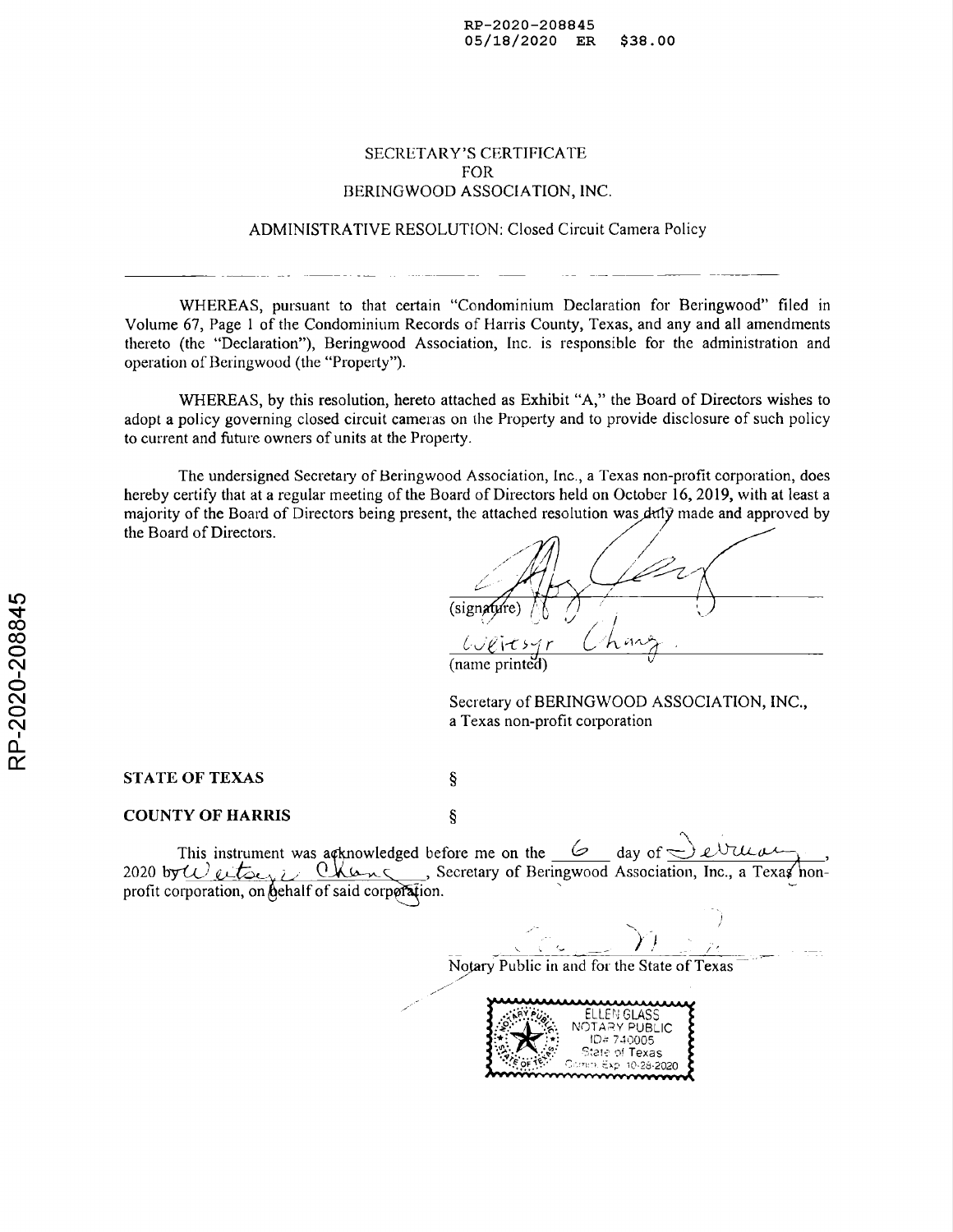## SECRETARY'S CERTIFICATE FOR BERINGWOOD ASSOCIATION, INC.

ADMINISTRATIVE RESOLUTION: Closed Circuit Camera Policy

WHEREAS, pursuant to that certain "Condominium Declaration for Beringwood" filed in Volume 67, Page 1 of the Condominium Records of Harris County, Texas, and any and all amendments thereto (the "Declaration"), Beringwood Association, Inc. is responsible for the administration and operation of Beringwood (the "Property").

WHEREAS, by this resolution, hereto attached as Exhibit "A," the Board of Directors wishes to adopt a policy governing closed circuit cameras on the Property and to provide disclosure of such policy to current and future owners of units at the Property.

The undersigned Secretary of Beringwood Association, Inc., a Texas non-profit corporation, does hereby certify that at a regular meeting of the Board of Directors held on October 16, 2019, with at least a majority of the Board of Directors being present, the attached resolution was duly made and approved by the Board of Directors.

*r*

(name printed)

Secretary of BERINGWOOD ASSOCIATION, INC., a Texas non-profit corporation

STATE OF TEXAS

COUNTY OF HARRIS

This instrument was a cknowledged before me on the  $\frac{6}{\sqrt{2}}$  day of  $\leq$ 2020 by  $w$  entry in Change , Secretary of Beringwood Association, Inc., a Texas honprofit corporation, on behalf of said corporation.

 $\S$ 

Ş

Notary Public in and for the State of Texas

ELLEN GLASS NOT, A PUBLIC ID= 740005 State of Texas 10-28.2020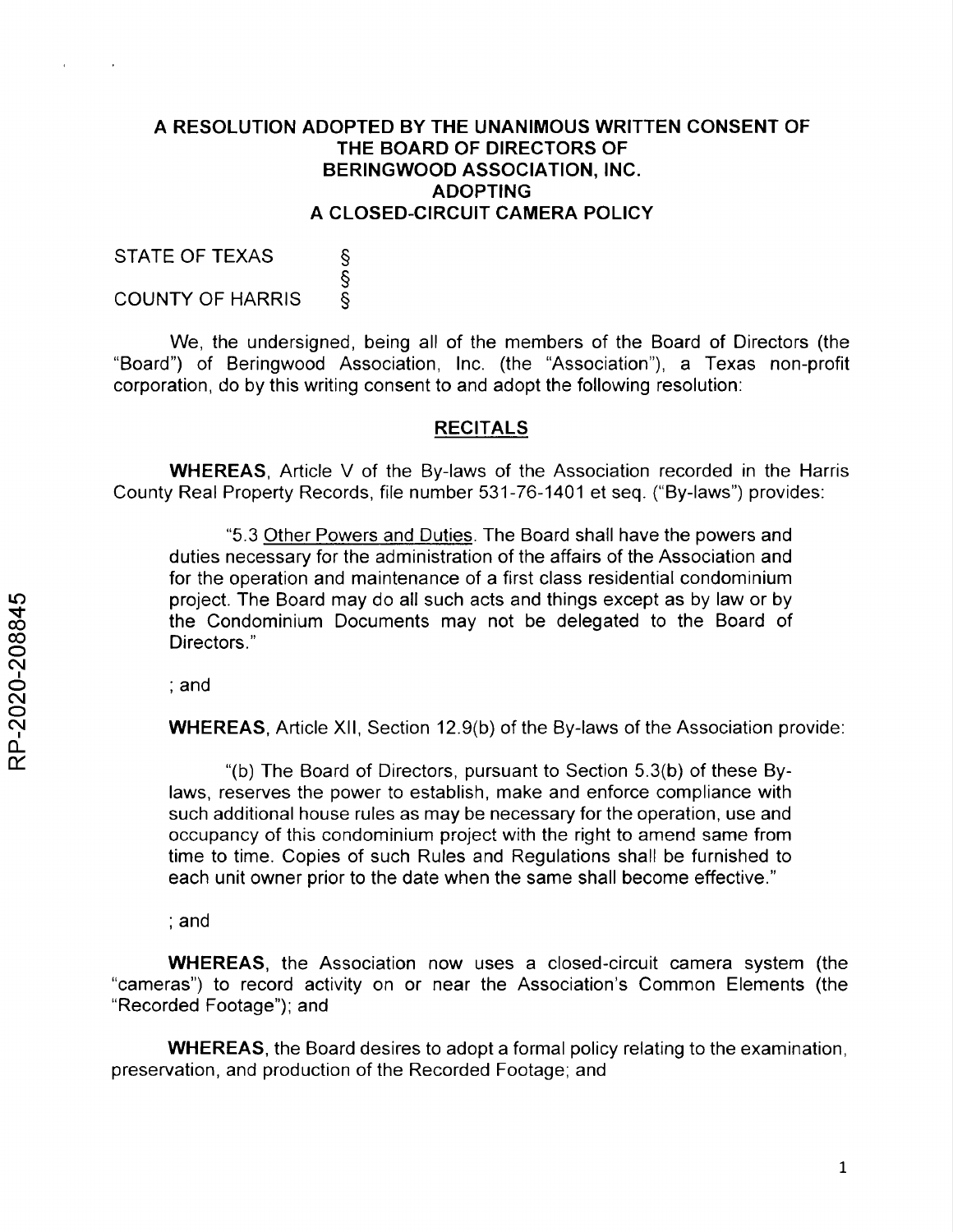# **A RESOLUTION ADOPTED BY THE UNANIMOUS WRITTEN CONSENT OF THE BOARD OF DIRECTORS OF BERINGWOOD ASSOCIATION, INC. ADOPTING A CLOSED-CIRCUIT CAMERA POLICY**

STATE OF TEXAS S<br>(<br>လ COUNTY OF HARRIS

We, the undersigned, being all of the members of the Board of Directors (the "Board") of Beringwood Association, Inc. (the "Association"), a Texas non-profit corporation, do by this writing consent to and adopt the following resolution:

# **RECITALS**

**WHEREAS,** Article V of the By-laws of the Association recorded in the Harris County Real Property Records, file number 531-76-1401 et seq. ("By-laws") provides:

"5.3 Other Powers and Duties. The Board shall have the powers and duties necessary for the administration of the affairs of the Association and for the operation and maintenance of a first class residential condominium project. The Board may do all such acts and things except as by law or by the Condominium Documents may not be delegated to the Board of Directors."

; and

**WHEREAS,** Article XII, Section 12.9(b) of the By-laws of the Association provide:

"(b) The Board of Directors, pursuant to Section 5.3(b) of these Bylaws, reserves the power to establish, make and enforce compliance with such additional house rules as may be necessary for the operation, use and occupancy of this condominium project with the right to amend same from time to time. Copies of such Rules and Regulations shall be furnished to each unit owner prior to the date when the same shall become effective."

; and

**WHEREAS,** the Association now uses a closed-circuit camera system (the "cameras") to record activity on or near the Association's Common Elements (the "Recorded Footage"); and

**WHEREAS,** the Board desires to adopt a formal policy relating to the examination, preservation, and production of the Recorded Footage; and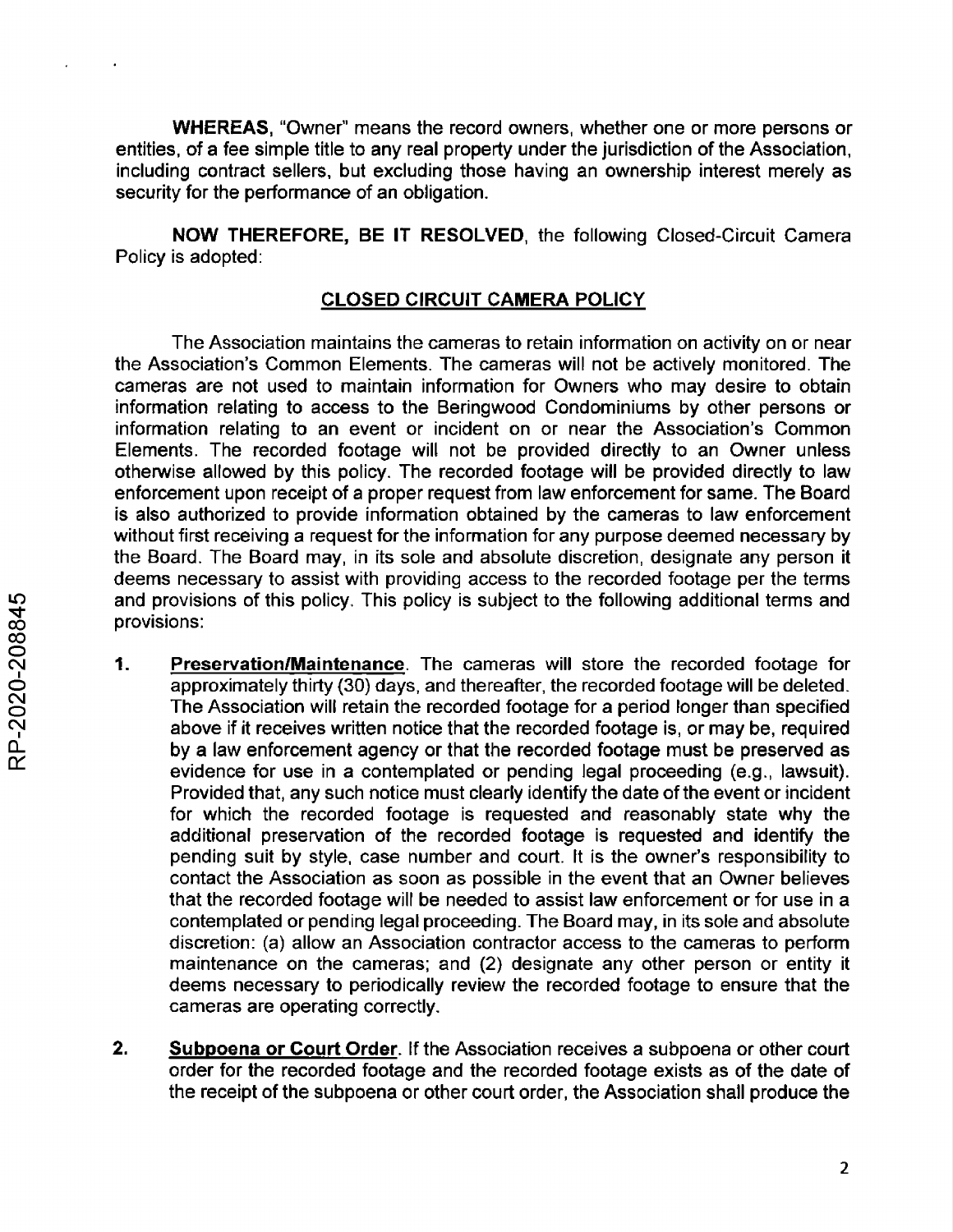**WHEREAS,** "Owner" means the record owners, whether one or more persons or entities, of a fee simple title to any real property under the jurisdiction of the Association, including contract sellers, but excluding those having an ownership interest merely as security for the performance of an obligation.

**NOW THEREFORE, BE IT RESOLVED,** the following Closed-Circuit Camera Policy is adopted:

# **CLOSED CIRCUIT CAMERA POLICY**

The Association maintains the cameras to retain information on activity on or near the Association's Common Elements. The cameras will not be actively monitored. The cameras are not used to maintain information for Owners who may desire to obtain information relating to access to the Beringwood Condominiums by other persons or information relating to an event or incident on or near the Association's Common Elements. The recorded footage will not be provided directly to an Owner unless otherwise allowed by this policy. The recorded footage will be provided directly to law enforcement upon receipt of a proper request from law enforcement for same. The Board is also authorized to provide information obtained by the cameras to law enforcement without first receiving a request for the information for any purpose deemed necessary by the Board. The Board may, in its sole and absolute discretion, designate any person it deems necessary to assist with providing access to the recorded footage per the terms and provisions of this policy. This policy is subject to the following additional terms and provisions:

- **I. Preservation/Maintenance.** The cameras will store the recorded footage for approximately thirty (30) days, and thereafter, the recorded footage will be deleted. The Association will retain the recorded footage for a period longer than specified above if it receives written notice that the recorded footage is, or may be, required by a law enforcement agency or that the recorded footage must be preserved as evidence for use in a contemplated or pending legal proceeding (e.g., lawsuit). Provided that, any such notice must clearly identify the date of the event or incident for which the recorded footage is requested and reasonably state why the additional preservation of the recorded footage is requested and identify the pending suit by style, case number and court. It is the owner's responsibility to contact the Association as soon as possible in the event that an Owner believes that the recorded footage will be needed to assist law enforcement or for use in a contemplated or pending legal proceeding. The Board may, in its sole and absolute discretion: (a) allow an Association contractor access to the cameras to perform maintenance on the cameras; and (2) designate any other person or entity it deems necessary to periodically review the recorded footage to ensure that the cameras are operating correctly.
- **2. Subpoena or Court Order.** If the Association receives a subpoena or other court order for the recorded footage and the recorded footage exists as of the date of the receipt of the subpoena or other court order, the Association shall produce the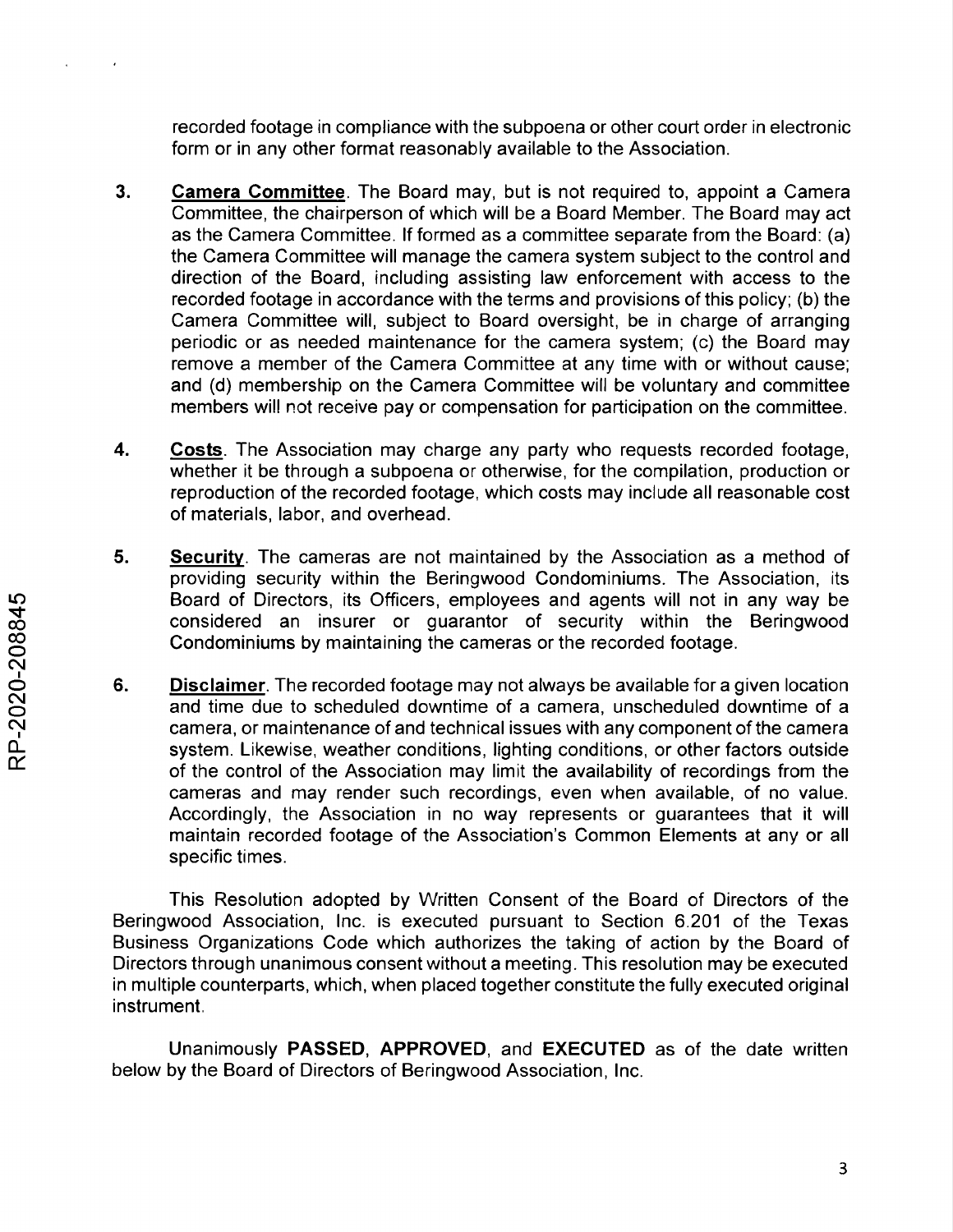recorded footage in compliance with the subpoena or other court order in electronic form or in any other format reasonably available to the Association.

- **3. Camera Committee.** The Board may, but is not required to, appoint a Camera Committee, the chairperson of which will be a Board Member. The Board may act as the Camera Committee. If formed as a committee separate from the Board: (a) the Camera Committee will manage the camera system subject to the control and direction of the Board, including assisting law enforcement with access to the recorded footage in accordance with the terms and provisions of this policy; (b) the Camera Committee will, subject to Board oversight, be in charge of arranging periodic or as needed maintenance for the camera system; (c) the Board may remove a member of the Camera Committee at any time with or without cause; and (d) membership on the Camera Committee will be voluntary and committee members will not receive pay or compensation for participation on the committee.
- **4. Costs.** The Association may charge any party who requests recorded footage, whether it be through a subpoena or otherwise, for the compilation, production or reproduction of the recorded footage, which costs may include all reasonable cost of materials, labor, and overhead.
- **5. Security.** The cameras are not maintained by the Association as a method of providing security within the Beringwood Condominiums. The Association, its Board of Directors, its Officers, employees and agents will not in any way be considered an insurer or guarantor of security within the Beringwood Condominiums by maintaining the cameras or the recorded footage.
- **6. Disclaimer.** The recorded footage may not always be available for a given location and time due to scheduled downtime of a camera, unscheduled downtime of a camera, or maintenance of and technical issues with any component of the camera system. Likewise, weather conditions, lighting conditions, or other factors outside of the control of the Association may limit the availability of recordings from the cameras and may render such recordings, even when available, of no value. Accordingly, the Association in no way represents or guarantees that it will maintain recorded footage of the Association's Common Elements at any or all specific times.

This Resolution adopted by Written Consent of the Board of Directors of the Beringwood Association, Inc. is executed pursuant to Section 6.201 of the Texas Business Organizations Code which authorizes the taking of action by the Board of Directors through unanimous consent without a meeting. This resolution may be executed in multiple counterparts, which, when placed together constitute the fully executed original instrument.

Unanimously **PASSED, APPROVED,** and **EXECUTED** as of the date written below by the Board of Directors of Beringwood Association, Inc.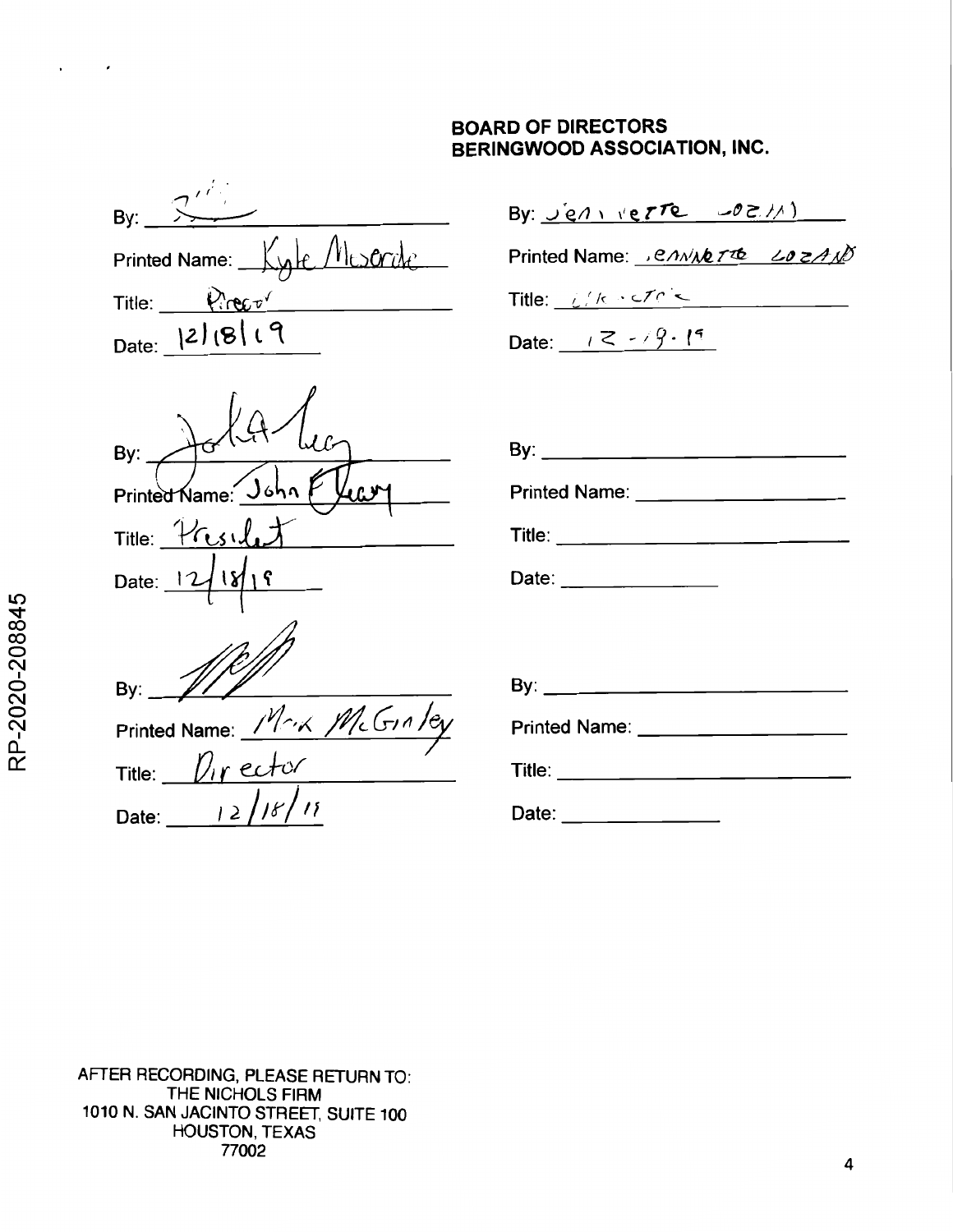# **BOARD OF DIRECTORS BERINGWOOD ASSOCIATION, INC.**

| By:    |                              |
|--------|------------------------------|
|        | Printed Name: Kyle Mescritic |
| Title: | Pirector                     |
| Date:  | 2 8 19                       |

| By:                         | By: _____                      |
|-----------------------------|--------------------------------|
| Printed Name: John          | <b>Printed Name:</b>           |
| Title: Presilet             | Title: $\_\_$                  |
| Date: 12/18/19              | Date:                          |
|                             |                                |
| By:                         | By: ____                       |
| Printed Name: Mark McGinley | <b>Printed Name</b>            |
| Title: Director             | $\mathsf{Title:}\_\_\_\_\_\_\$ |
| Date: $12/181$              | Date: $\qquad \qquad$          |

# By: <u>Jen verre</u>  $-02$ //)

Printed Name: *envit Tre LozaNS* 

Title:  $\sqrt{16 \cdot 10^{10}}$ 

Date:  $1 < -9.19$ 

| Printed Name: ____________________        |  |  |  |
|-------------------------------------------|--|--|--|
| Title: __________________________________ |  |  |  |
| Date: ________________                    |  |  |  |
|                                           |  |  |  |
|                                           |  |  |  |
|                                           |  |  |  |
| Printed Name: ___________________         |  |  |  |
|                                           |  |  |  |
| Nate∙                                     |  |  |  |

AFTER RECORDING, PLEASE RETURN TO: THE NICHOLS FIRM 1010 N. SAN JACINTO STREET, SUITE 100 HOUSTON, TEXAS 77002

 $\sim$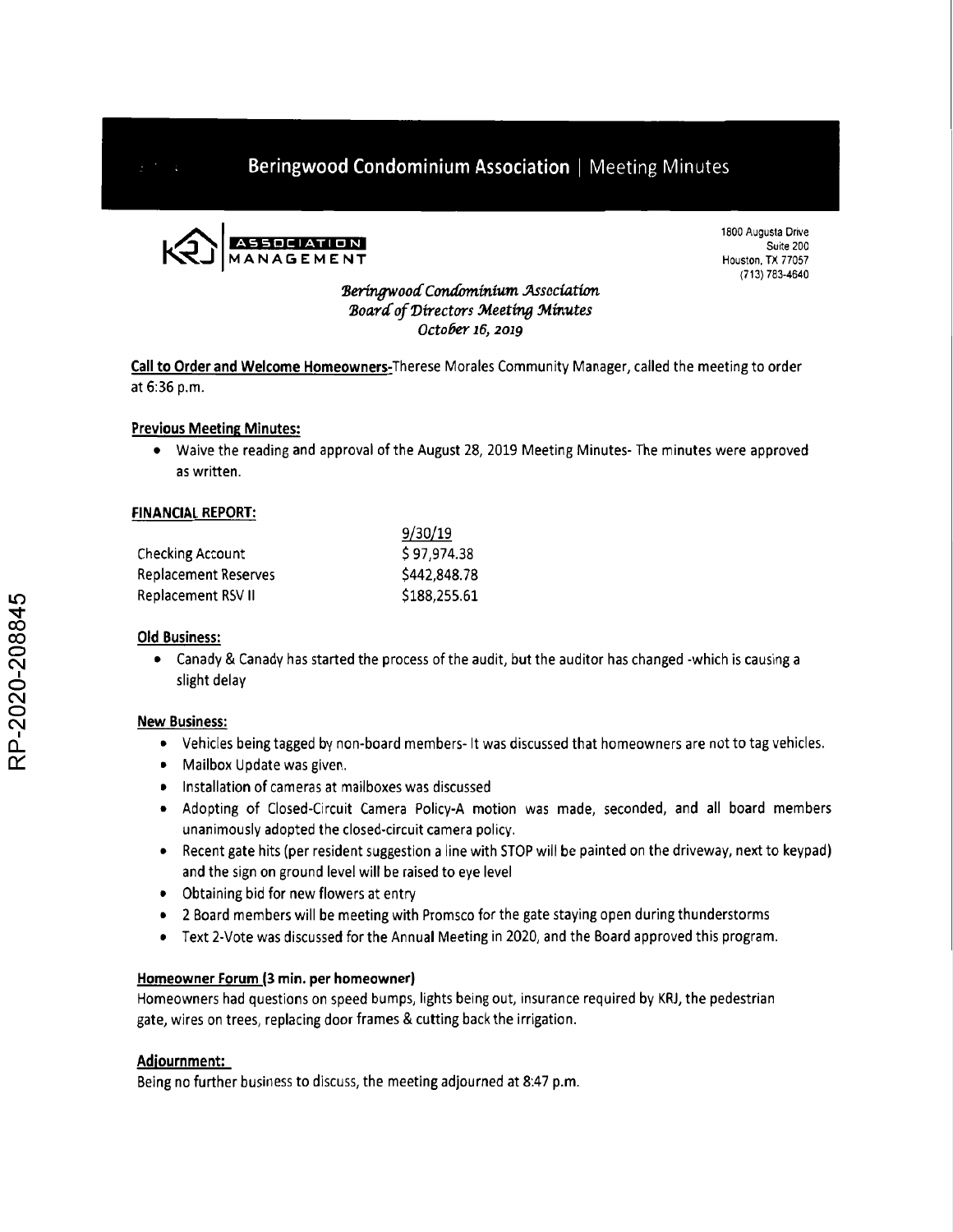

1800 Augusta Drive Suite 2D0 Houston, TX 77057 (713) 783-4640

## *Beringwood Condominium Association Board of Directors Meeting Minutes October 16, 2019*

**Call to Order and Welcome Homeowners-Therese**Morales Community Manager, called the meeting to order at 6:36 p.m.

# **Previous Meeting Minutes:**

• Waive the reading and approval of the August 28, 2019 Meeting Minutes- The minutes were approved as written.

9/30/19

## **FINANCIAL REPORT:**

|                      | 9/30/19      |
|----------------------|--------------|
| Checking Account     | \$97,974.38  |
| Replacement Reserves | \$442,848.78 |
| Replacement RSV II   | \$188,255.61 |

## **Old Business:**

• Canady & Canady has started the process of the audit, but the auditor has changed -which is causing a slight delay

## **New Business:**

- Vehicles being tagged by non-board members- It was discussed that homeowners are not to tag vehicles.
- Mailbox Update was given.
- Installation of cameras at mailboxes was discussed
- Adopting of Closed-Circuit Camera Policy-A motion was made, seconded, and all board members unanimously adopted the closed-circuit camera policy.
- Recent gate hits (per resident suggestion a line with STOP will be painted on the driveway, next to keypad) and the sign on ground level will be raised to eye level
- Obtaining bid for new flowers at entry
- 2 Board members will be meeting with Promsco for the gate staying open during thunderstorms
- Text 2-Vote was discussed for the Annual Meeting in 2020, and the Board approved this program.

## **Homeowner Forum (3 min. per homeowner)**

Homeowners had questions on speed bumps, lights being out, insurance required by KRJ, the pedestrian gate, wires on trees, replacing door frames & cutting back the irrigation.

## **Adjournment:**

Being no further business to discuss, the meeting adjourned at 8:47 p.m.